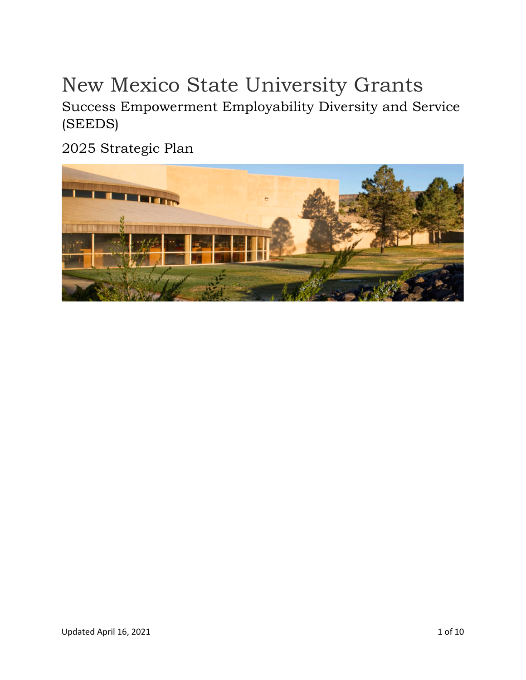# New Mexico State University Grants

Success Empowerment Employability Diversity and Service (SEEDS)

2025 Strategic Plan

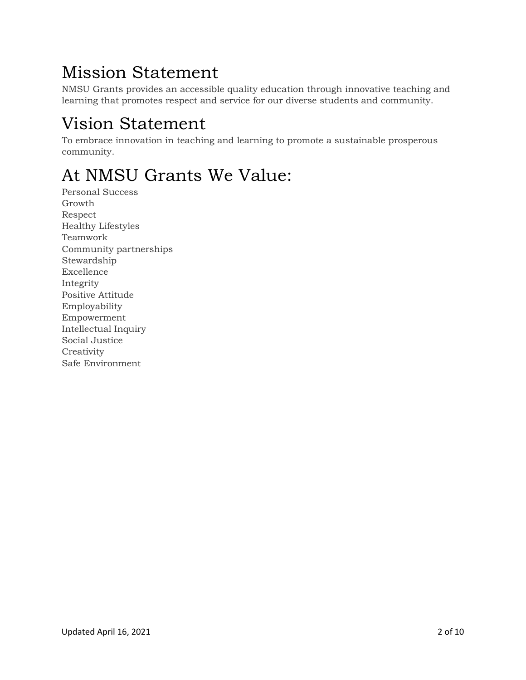# Mission Statement

NMSU Grants provides an accessible quality education through innovative teaching and learning that promotes respect and service for our diverse students and community.

# Vision Statement

To embrace innovation in teaching and learning to promote a sustainable prosperous community.

# At NMSU Grants We Value:

Personal Success Growth Respect Healthy Lifestyles Teamwork Community partnerships Stewardship Excellence Integrity Positive Attitude Employability Empowerment Intellectual Inquiry Social Justice **Creativity** Safe Environment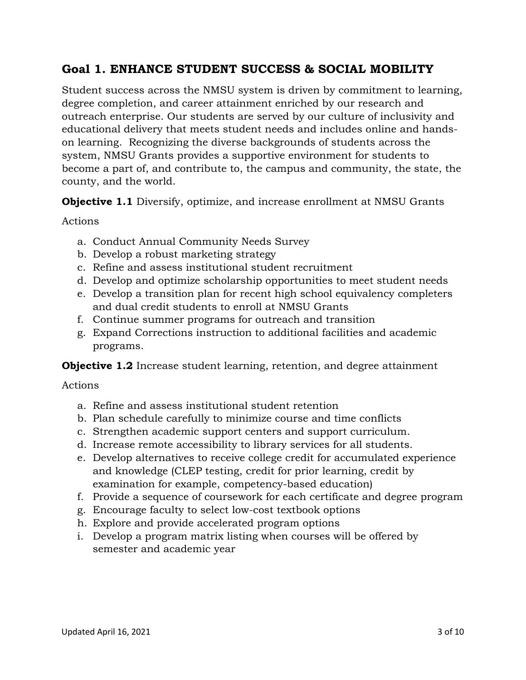## **Goal 1. ENHANCE STUDENT SUCCESS & SOCIAL MOBILITY**

Student success across the NMSU system is driven by commitment to learning, degree completion, and career attainment enriched by our research and outreach enterprise. Our students are served by our culture of inclusivity and educational delivery that meets student needs and includes online and handson learning. Recognizing the diverse backgrounds of students across the system, NMSU Grants provides a supportive environment for students to become a part of, and contribute to, the campus and community, the state, the county, and the world.

**Objective 1.1** Diversify, optimize, and increase enrollment at NMSU Grants

#### Actions

- a. Conduct Annual Community Needs Survey
- b. Develop a robust marketing strategy
- c. Refine and assess institutional student recruitment
- d. Develop and optimize scholarship opportunities to meet student needs
- e. Develop a transition plan for recent high school equivalency completers and dual credit students to enroll at NMSU Grants
- f. Continue summer programs for outreach and transition
- g. Expand Corrections instruction to additional facilities and academic programs.

**Objective 1.2** Increase student learning, retention, and degree attainment

### Actions

- a. Refine and assess institutional student retention
- b. Plan schedule carefully to minimize course and time conflicts
- c. Strengthen academic support centers and support curriculum.
- d. Increase remote accessibility to library services for all students.
- e. Develop alternatives to receive college credit for accumulated experience and knowledge (CLEP testing, credit for prior learning, credit by examination for example, competency-based education)
- f. Provide a sequence of coursework for each certificate and degree program
- g. Encourage faculty to select low-cost textbook options
- h. Explore and provide accelerated program options
- i. Develop a program matrix listing when courses will be offered by semester and academic year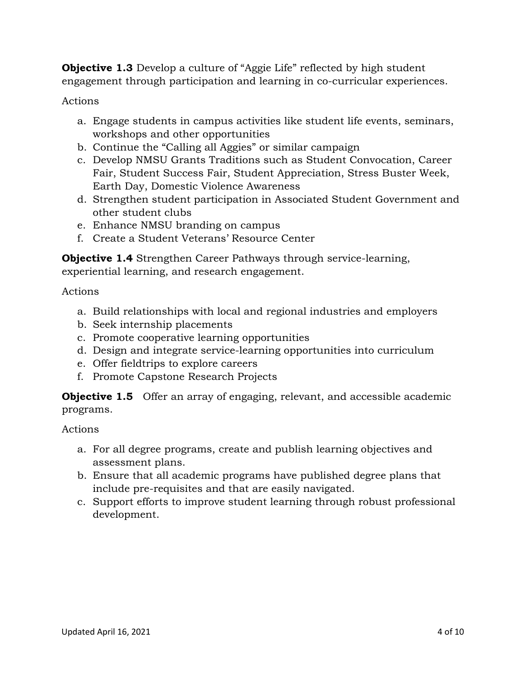**Objective 1.3** Develop a culture of "Aggie Life" reflected by high student engagement through participation and learning in co-curricular experiences.

Actions

- a. Engage students in campus activities like student life events, seminars, workshops and other opportunities
- b. Continue the "Calling all Aggies" or similar campaign
- c. Develop NMSU Grants Traditions such as Student Convocation, Career Fair, Student Success Fair, Student Appreciation, Stress Buster Week, Earth Day, Domestic Violence Awareness
- d. Strengthen student participation in Associated Student Government and other student clubs
- e. Enhance NMSU branding on campus
- f. Create a Student Veterans' Resource Center

**Objective 1.4** Strengthen Career Pathways through service-learning, experiential learning, and research engagement.

Actions

- a. Build relationships with local and regional industries and employers
- b. Seek internship placements
- c. Promote cooperative learning opportunities
- d. Design and integrate service-learning opportunities into curriculum
- e. Offer fieldtrips to explore careers
- f. Promote Capstone Research Projects

**Objective 1.5** Offer an array of engaging, relevant, and accessible academic programs.

Actions

- a. For all degree programs, create and publish learning objectives and assessment plans.
- b. Ensure that all academic programs have published degree plans that include pre-requisites and that are easily navigated.
- c. Support efforts to improve student learning through robust professional development.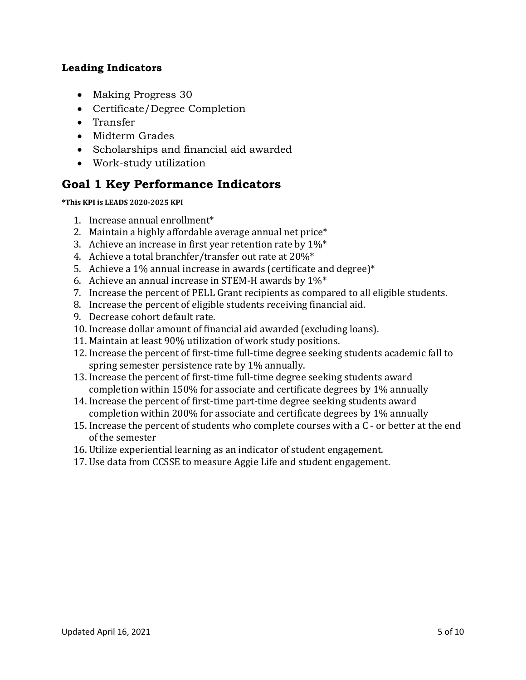### **Leading Indicators**

- Making Progress 30
- Certificate/Degree Completion
- Transfer
- Midterm Grades
- Scholarships and financial aid awarded
- Work-study utilization

## **Goal 1 Key Performance Indicators**

#### **\*This KPI is LEADS 2020-2025 KPI**

- 1. Increase annual enrollment\*
- 2. Maintain a highly affordable average annual net price\*
- 3. Achieve an increase in first year retention rate by  $1\%^*$
- 4. Achieve a total branchfer/transfer out rate at 20%\*
- 5. Achieve a 1% annual increase in awards (certificate and degree)\*
- 6. Achieve an annual increase in STEM-H awards by  $1\%^*$
- 7. Increase the percent of PELL Grant recipients as compared to all eligible students.
- 8. Increase the percent of eligible students receiving financial aid.
- 9. Decrease cohort default rate.
- 10. Increase dollar amount of financial aid awarded (excluding loans).
- 11. Maintain at least 90% utilization of work study positions.
- 12. Increase the percent of first-time full-time degree seeking students academic fall to spring semester persistence rate by 1% annually.
- 13. Increase the percent of first-time full-time degree seeking students award completion within 150% for associate and certificate degrees by 1% annually
- 14. Increase the percent of first-time part-time degree seeking students award completion within 200% for associate and certificate degrees by 1% annually
- 15. Increase the percent of students who complete courses with a C or better at the end of the semester
- 16. Utilize experiential learning as an indicator of student engagement.
- 17. Use data from CCSSE to measure Aggie Life and student engagement.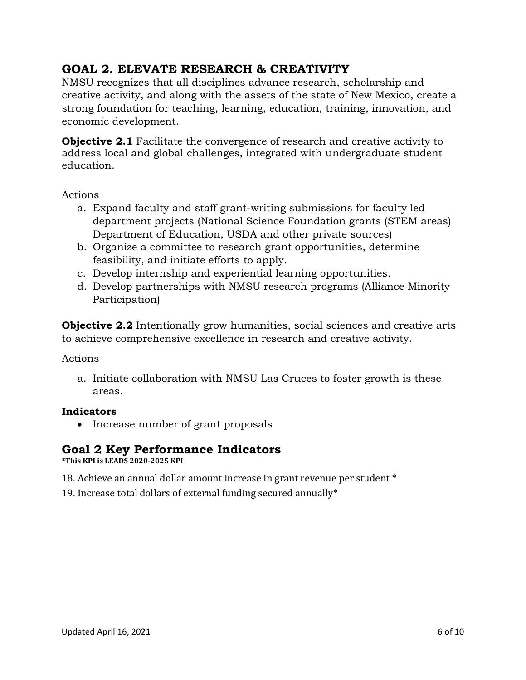## **GOAL 2. ELEVATE RESEARCH & CREATIVITY**

NMSU recognizes that all disciplines advance research, scholarship and creative activity, and along with the assets of the state of New Mexico, create a strong foundation for teaching, learning, education, training, innovation, and economic development.

**Objective 2.1** Facilitate the convergence of research and creative activity to address local and global challenges, integrated with undergraduate student education.

Actions

- a. Expand faculty and staff grant-writing submissions for faculty led department projects (National Science Foundation grants (STEM areas) Department of Education, USDA and other private sources)
- b. Organize a committee to research grant opportunities, determine feasibility, and initiate efforts to apply.
- c. Develop internship and experiential learning opportunities.
- d. Develop partnerships with NMSU research programs (Alliance Minority Participation)

**Objective 2.2** Intentionally grow humanities, social sciences and creative arts to achieve comprehensive excellence in research and creative activity.

### Actions

a. Initiate collaboration with NMSU Las Cruces to foster growth is these areas.

### **Indicators**

• Increase number of grant proposals

## **Goal 2 Key Performance Indicators**

**\*This KPI is LEADS 2020-2025 KPI**

18. Achieve an annual dollar amount increase in grant revenue per student **\***

19. Increase total dollars of external funding secured annually\*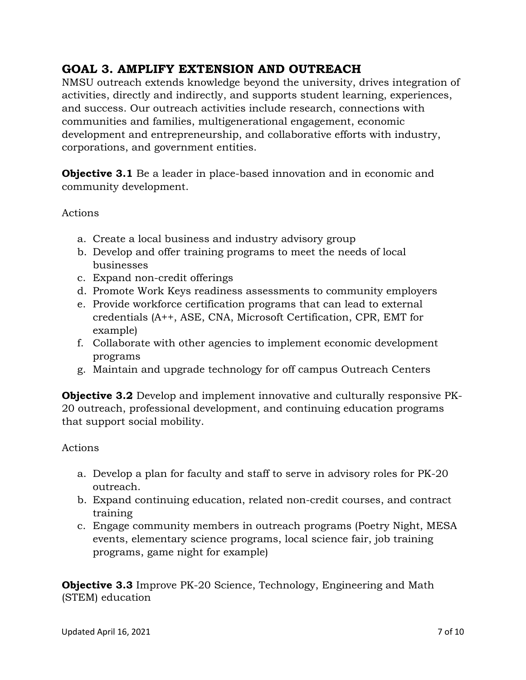# **GOAL 3. AMPLIFY EXTENSION AND OUTREACH**

NMSU outreach extends knowledge beyond the university, drives integration of activities, directly and indirectly, and supports student learning, experiences, and success. Our outreach activities include research, connections with communities and families, multigenerational engagement, economic development and entrepreneurship, and collaborative efforts with industry, corporations, and government entities.

**Objective 3.1** Be a leader in place-based innovation and in economic and community development.

## Actions

- a. Create a local business and industry advisory group
- b. Develop and offer training programs to meet the needs of local businesses
- c. Expand non-credit offerings
- d. Promote Work Keys readiness assessments to community employers
- e. Provide workforce certification programs that can lead to external credentials (A++, ASE, CNA, Microsoft Certification, CPR, EMT for example)
- f. Collaborate with other agencies to implement economic development programs
- g. Maintain and upgrade technology for off campus Outreach Centers

**Objective 3.2** Develop and implement innovative and culturally responsive PK-20 outreach, professional development, and continuing education programs that support social mobility.

### Actions

- a. Develop a plan for faculty and staff to serve in advisory roles for PK-20 outreach.
- b. Expand continuing education, related non-credit courses, and contract training
- c. Engage community members in outreach programs (Poetry Night, MESA events, elementary science programs, local science fair, job training programs, game night for example)

**Objective 3.3** Improve PK-20 Science, Technology, Engineering and Math (STEM) education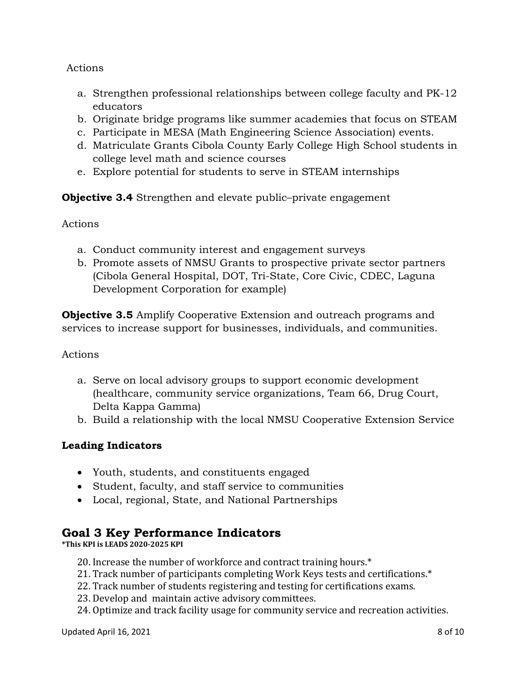## Actions

- a. Strengthen professional relationships between college faculty and PK-12 educators
- b. Originate bridge programs like summer academies that focus on STEAM
- c. Participate in MESA (Math Engineering Science Association) events.
- d. Matriculate Grants Cibola County Early College High School students in college level math and science courses
- e. Explore potential for students to serve in STEAM internships

**Objective 3.4** Strengthen and elevate public–private engagement

Actions

- a. Conduct community interest and engagement surveys
- b. Promote assets of NMSU Grants to prospective private sector partners (Cibola General Hospital, DOT, Tri-State, Core Civic, CDEC, Laguna Development Corporation for example)

**Objective 3.5** Amplify Cooperative Extension and outreach programs and services to increase support for businesses, individuals, and communities.

### Actions

- a. Serve on local advisory groups to support economic development (healthcare, community service organizations, Team 66, Drug Court, Delta Kappa Gamma)
- b. Build a relationship with the local NMSU Cooperative Extension Service

## **Leading Indicators**

- Youth, students, and constituents engaged
- Student, faculty, and staff service to communities
- Local, regional, State, and National Partnerships

## **Goal 3 Key Performance Indicators**

**\*This KPI is LEADS 2020-2025 KPI**

- 20. Increase the number of workforce and contract training hours.\*
- 21. Track number of participants completing Work Keys tests and certifications.\*
- 22. Track number of students registering and testing for certifications exams.
- 23. Develop and maintain active advisory committees.
- 24. Optimize and track facility usage for community service and recreation activities.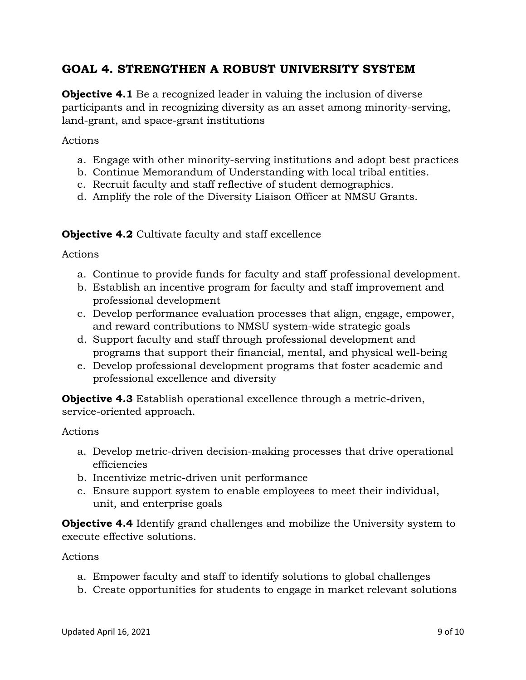## **GOAL 4. STRENGTHEN A ROBUST UNIVERSITY SYSTEM**

**Objective 4.1** Be a recognized leader in valuing the inclusion of diverse participants and in recognizing diversity as an asset among minority-serving, land-grant, and space-grant institutions

Actions

- a. Engage with other minority-serving institutions and adopt best practices
- b. Continue Memorandum of Understanding with local tribal entities.
- c. Recruit faculty and staff reflective of student demographics.
- d. Amplify the role of the Diversity Liaison Officer at NMSU Grants.

**Objective 4.2** Cultivate faculty and staff excellence

Actions

- a. Continue to provide funds for faculty and staff professional development.
- b. Establish an incentive program for faculty and staff improvement and professional development
- c. Develop performance evaluation processes that align, engage, empower, and reward contributions to NMSU system-wide strategic goals
- d. Support faculty and staff through professional development and programs that support their financial, mental, and physical well-being
- e. Develop professional development programs that foster academic and professional excellence and diversity

**Objective 4.3** Establish operational excellence through a metric-driven, service-oriented approach.

Actions

- a. Develop metric-driven decision-making processes that drive operational efficiencies
- b. Incentivize metric-driven unit performance
- c. Ensure support system to enable employees to meet their individual, unit, and enterprise goals

**Objective 4.4** Identify grand challenges and mobilize the University system to execute effective solutions.

Actions

- a. Empower faculty and staff to identify solutions to global challenges
- b. Create opportunities for students to engage in market relevant solutions